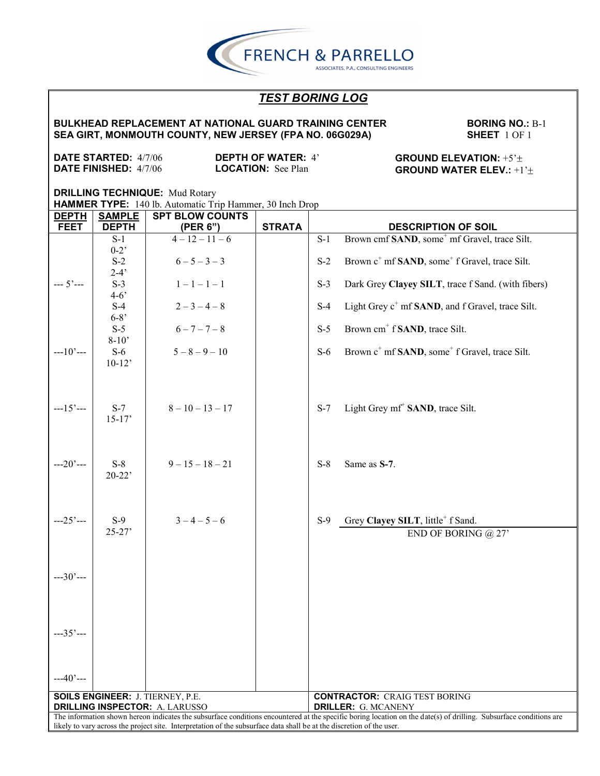**BULKHEAD REPLACEMENT AT NATIONAL GUARD TRAINING CENTER SEA GIRT, MONMOUTH COUNTY, NEW JERSEY (FPA NO. 06G029A)**

**BORING NO.:** B-1 **SHEET** 1 OF 1

**DATE STARTED:** 4/7/06 **DATE FINISHED:** 4/7/06

**DEPTH OF WATER:** 4' **LOCATION:** See Plan

**GROUND ELEVATION:** +5' **GROUND WATER ELEV.:** +1'

| <b>DEPTH</b>                                                                                                          | <b>SAMPLE</b> | <b>SPT BLOW COUNTS</b>                  |               |                                                                                                                                                                    |  |  |
|-----------------------------------------------------------------------------------------------------------------------|---------------|-----------------------------------------|---------------|--------------------------------------------------------------------------------------------------------------------------------------------------------------------|--|--|
| <b>FEET</b>                                                                                                           | <b>DEPTH</b>  | (PER 6")                                | <b>STRATA</b> | <b>DESCRIPTION OF SOIL</b>                                                                                                                                         |  |  |
|                                                                                                                       | $S-1$         | $4-12-11-6$                             |               | Brown cmf SAND, some <sup>+</sup> mf Gravel, trace Silt.<br>$S-1$                                                                                                  |  |  |
|                                                                                                                       | $0-2$         |                                         |               |                                                                                                                                                                    |  |  |
|                                                                                                                       | $S-2$         | $6 - 5 - 3 - 3$                         |               | Brown c <sup>+</sup> mf <b>SAND</b> , some <sup>+</sup> f Gravel, trace Silt.<br>$S-2$                                                                             |  |  |
|                                                                                                                       | $2-4'$        |                                         |               |                                                                                                                                                                    |  |  |
| $-- 5'---$                                                                                                            | $S-3$         | $1 - 1 - 1 - 1$                         |               | $S-3$<br>Dark Grey Clayey SILT, trace f Sand. (with fibers)                                                                                                        |  |  |
|                                                                                                                       | $4 - 6'$      |                                         |               |                                                                                                                                                                    |  |  |
|                                                                                                                       | $S-4$         | $2-3-4-8$                               |               | Light Grey c <sup>+</sup> mf <b>SAND</b> , and f Gravel, trace Silt.<br>$S-4$                                                                                      |  |  |
|                                                                                                                       | $6 - 8'$      |                                         |               |                                                                                                                                                                    |  |  |
|                                                                                                                       | $S-5$         | $6 - 7 - 7 - 8$                         |               | Brown cm <sup>+</sup> f <b>SAND</b> , trace Silt.<br>$S-5$                                                                                                         |  |  |
|                                                                                                                       | $8-10'$       |                                         |               |                                                                                                                                                                    |  |  |
| $-10$ $-$                                                                                                             | $S-6$         | $5 - 8 - 9 - 10$                        |               | Brown c <sup>+</sup> mf <b>SAND</b> , some <sup>+</sup> f Gravel, trace Silt.<br>$S-6$                                                                             |  |  |
|                                                                                                                       | $10-12'$      |                                         |               |                                                                                                                                                                    |  |  |
|                                                                                                                       |               |                                         |               |                                                                                                                                                                    |  |  |
|                                                                                                                       |               |                                         |               |                                                                                                                                                                    |  |  |
|                                                                                                                       |               |                                         |               |                                                                                                                                                                    |  |  |
| $-15$ $-$                                                                                                             | $S-7$         | $8 - 10 - 13 - 17$                      |               | Light Grey mf <sup>+</sup> SAND, trace Silt.<br>$S-7$                                                                                                              |  |  |
|                                                                                                                       | $15-17'$      |                                         |               |                                                                                                                                                                    |  |  |
|                                                                                                                       |               |                                         |               |                                                                                                                                                                    |  |  |
|                                                                                                                       |               |                                         |               |                                                                                                                                                                    |  |  |
|                                                                                                                       |               |                                         |               |                                                                                                                                                                    |  |  |
| $-20$ ' $-$                                                                                                           | $S-8$         | $9 - 15 - 18 - 21$                      |               | $S-8$<br>Same as S-7.                                                                                                                                              |  |  |
|                                                                                                                       | $20-22$       |                                         |               |                                                                                                                                                                    |  |  |
|                                                                                                                       |               |                                         |               |                                                                                                                                                                    |  |  |
|                                                                                                                       |               |                                         |               |                                                                                                                                                                    |  |  |
|                                                                                                                       |               |                                         |               |                                                                                                                                                                    |  |  |
| $-25$ ' $-$                                                                                                           | $S-9$         | $3 - 4 - 5 - 6$                         |               | Grey Clayey SILT, little <sup>+</sup> f Sand.<br>$S-9$                                                                                                             |  |  |
|                                                                                                                       | $25 - 27'$    |                                         |               | END OF BORING $@27'$                                                                                                                                               |  |  |
|                                                                                                                       |               |                                         |               |                                                                                                                                                                    |  |  |
|                                                                                                                       |               |                                         |               |                                                                                                                                                                    |  |  |
|                                                                                                                       |               |                                         |               |                                                                                                                                                                    |  |  |
| $--30'---$                                                                                                            |               |                                         |               |                                                                                                                                                                    |  |  |
|                                                                                                                       |               |                                         |               |                                                                                                                                                                    |  |  |
|                                                                                                                       |               |                                         |               |                                                                                                                                                                    |  |  |
|                                                                                                                       |               |                                         |               |                                                                                                                                                                    |  |  |
|                                                                                                                       |               |                                         |               |                                                                                                                                                                    |  |  |
| $-35$ $-$                                                                                                             |               |                                         |               |                                                                                                                                                                    |  |  |
|                                                                                                                       |               |                                         |               |                                                                                                                                                                    |  |  |
|                                                                                                                       |               |                                         |               |                                                                                                                                                                    |  |  |
|                                                                                                                       |               |                                         |               |                                                                                                                                                                    |  |  |
| $-40$ ' $-$                                                                                                           |               |                                         |               |                                                                                                                                                                    |  |  |
|                                                                                                                       |               | <b>SOILS ENGINEER: J. TIERNEY, P.E.</b> |               | <b>CONTRACTOR: CRAIG TEST BORING</b>                                                                                                                               |  |  |
| <b>DRILLING INSPECTOR: A. LARUSSO</b><br><b>DRILLER: G. MCANENY</b>                                                   |               |                                         |               |                                                                                                                                                                    |  |  |
|                                                                                                                       |               |                                         |               | The information shown hereon indicates the subsurface conditions encountered at the specific boring location on the date(s) of drilling. Subsurface conditions are |  |  |
| likely to vary across the project site. Interpretation of the subsurface data shall be at the discretion of the user. |               |                                         |               |                                                                                                                                                                    |  |  |

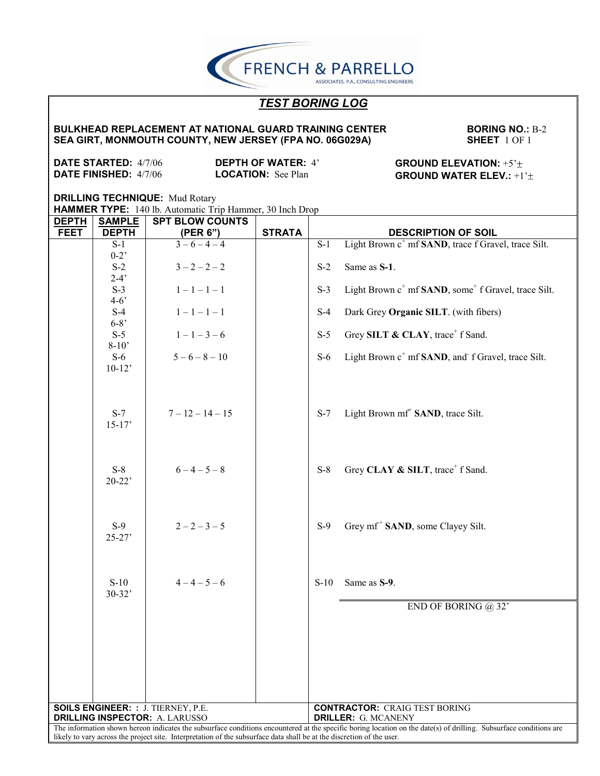**FRENCH & PARRELLO** ASSOCIATES, P.A., CONSULTING ENGINEERS

# *TEST BORING LOG*

### **BULKHEAD REPLACEMENT AT NATIONAL GUARD TRAINING CENTER SEA GIRT, MONMOUTH COUNTY, NEW JERSEY (FPA NO. 06G029A)**

**BORING NO.:** B-2 **SHEET** 1 OF 1

**DATE STARTED:** 4/7/06 **DATE FINISHED:** 4/7/06

**DEPTH OF WATER:** 4' **LOCATION:** See Plan

**GROUND ELEVATION:** +5' **GROUND WATER ELEV.:** +1'

**DRILLING TECHNIQUE:** Mud Rotary

**HAMMER TYPE:** 140 lb. Automatic Trip Hammer, 30 Inch Drop

| <b>DEPTH</b> | <b>SAMPLE</b>                                                                                                         | <b>SPT BLOW COUNTS</b>                    |               |                  |                                                                                                                                                                    |  |
|--------------|-----------------------------------------------------------------------------------------------------------------------|-------------------------------------------|---------------|------------------|--------------------------------------------------------------------------------------------------------------------------------------------------------------------|--|
| <b>FEET</b>  | <b>DEPTH</b>                                                                                                          | (PER 6")                                  | <b>STRATA</b> |                  | <b>DESCRIPTION OF SOIL</b>                                                                                                                                         |  |
|              | $S-1$                                                                                                                 | $3-6-4-4$                                 |               | $\overline{S-1}$ | Light Brown c <sup>+</sup> mf <b>SAND</b> , trace f Gravel, trace Silt.                                                                                            |  |
|              | $0-2$                                                                                                                 |                                           |               |                  |                                                                                                                                                                    |  |
|              | $S-2$                                                                                                                 | $3 - 2 - 2 - 2$                           |               | $S-2$            | Same as S-1.                                                                                                                                                       |  |
|              | $2-4'$                                                                                                                |                                           |               |                  |                                                                                                                                                                    |  |
|              | $S-3$                                                                                                                 | $1 - 1 - 1 - 1$                           |               | $S-3$            | Light Brown c <sup>+</sup> mf <b>SAND</b> , some <sup>+</sup> f Gravel, trace Silt.                                                                                |  |
|              | $4 - 6'$                                                                                                              |                                           |               |                  |                                                                                                                                                                    |  |
|              | $S-4$                                                                                                                 | $1 - 1 - 1 - 1$                           |               | $S-4$            | Dark Grey Organic SILT. (with fibers)                                                                                                                              |  |
|              | $6 - 8'$                                                                                                              |                                           |               |                  |                                                                                                                                                                    |  |
|              | $S-5$                                                                                                                 | $1 - 1 - 3 - 6$                           |               | $S-5$            | Grey SILT & CLAY, trace <sup>+</sup> f Sand.                                                                                                                       |  |
|              | $8-10'$                                                                                                               |                                           |               |                  |                                                                                                                                                                    |  |
|              | $S-6$                                                                                                                 | $5 - 6 - 8 - 10$                          |               | $S-6$            | Light Brown c <sup>+</sup> mf SAND, and f Gravel, trace Silt.                                                                                                      |  |
|              | $10-12$                                                                                                               |                                           |               |                  |                                                                                                                                                                    |  |
|              |                                                                                                                       |                                           |               |                  |                                                                                                                                                                    |  |
|              |                                                                                                                       |                                           |               |                  |                                                                                                                                                                    |  |
|              |                                                                                                                       |                                           |               |                  |                                                                                                                                                                    |  |
|              | $S-7$                                                                                                                 | $7 - 12 - 14 - 15$                        |               | $S-7$            | Light Brown mf <sup>+</sup> SAND, trace Silt.                                                                                                                      |  |
|              | $15 - 17'$                                                                                                            |                                           |               |                  |                                                                                                                                                                    |  |
|              |                                                                                                                       |                                           |               |                  |                                                                                                                                                                    |  |
|              |                                                                                                                       |                                           |               |                  |                                                                                                                                                                    |  |
|              |                                                                                                                       |                                           |               |                  |                                                                                                                                                                    |  |
|              | $S-8$                                                                                                                 | $6 - 4 - 5 - 8$                           |               | $S-8$            | Grey CLAY & SILT, trace <sup>+</sup> f Sand.                                                                                                                       |  |
|              | $20-22$                                                                                                               |                                           |               |                  |                                                                                                                                                                    |  |
|              |                                                                                                                       |                                           |               |                  |                                                                                                                                                                    |  |
|              |                                                                                                                       |                                           |               |                  |                                                                                                                                                                    |  |
|              |                                                                                                                       |                                           |               |                  |                                                                                                                                                                    |  |
|              | $S-9$                                                                                                                 | $2 - 2 - 3 - 5$                           |               | $S-9$            | Grey mf <sup>+</sup> SAND, some Clayey Silt.                                                                                                                       |  |
|              | $25 - 27'$                                                                                                            |                                           |               |                  |                                                                                                                                                                    |  |
|              |                                                                                                                       |                                           |               |                  |                                                                                                                                                                    |  |
|              |                                                                                                                       |                                           |               |                  |                                                                                                                                                                    |  |
|              |                                                                                                                       | $4-4-5-6$                                 |               |                  |                                                                                                                                                                    |  |
|              | $S-10$<br>$30 - 32'$                                                                                                  |                                           |               | $S-10$           | Same as S-9.                                                                                                                                                       |  |
|              |                                                                                                                       |                                           |               |                  |                                                                                                                                                                    |  |
|              |                                                                                                                       |                                           |               |                  | END OF BORING $@32"$                                                                                                                                               |  |
|              |                                                                                                                       |                                           |               |                  |                                                                                                                                                                    |  |
|              |                                                                                                                       |                                           |               |                  |                                                                                                                                                                    |  |
|              |                                                                                                                       |                                           |               |                  |                                                                                                                                                                    |  |
|              |                                                                                                                       |                                           |               |                  |                                                                                                                                                                    |  |
|              |                                                                                                                       |                                           |               |                  |                                                                                                                                                                    |  |
|              |                                                                                                                       |                                           |               |                  |                                                                                                                                                                    |  |
|              |                                                                                                                       |                                           |               |                  |                                                                                                                                                                    |  |
|              |                                                                                                                       | <b>SOILS ENGINEER: : J. TIERNEY, P.E.</b> |               |                  | <b>CONTRACTOR: CRAIG TEST BORING</b>                                                                                                                               |  |
|              |                                                                                                                       | <b>DRILLING INSPECTOR: A. LARUSSO</b>     |               |                  | <b>DRILLER: G. MCANENY</b>                                                                                                                                         |  |
|              |                                                                                                                       |                                           |               |                  | The information shown hereon indicates the subsurface conditions encountered at the specific boring location on the date(s) of drilling. Subsurface conditions are |  |
|              | likely to vary across the project site. Interpretation of the subsurface data shall be at the discretion of the user. |                                           |               |                  |                                                                                                                                                                    |  |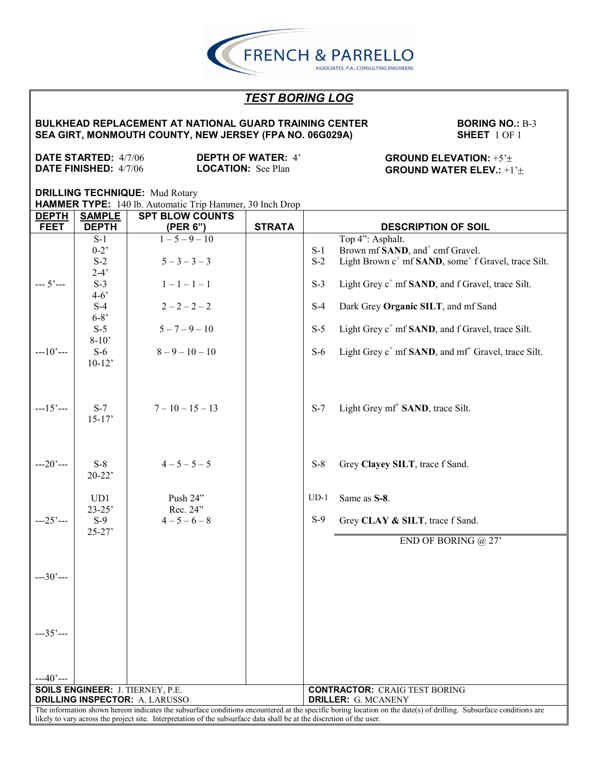**BULKHEAD REPLACEMENT AT NATIONAL GUARD TRAINING CENTER SEA GIRT, MONMOUTH COUNTY, NEW JERSEY (FPA NO. 06G029A)**

**BORING NO.:** B-3 **SHEET** 1 OF 1

**DATE STARTED:** 4/7/06 **DATE FINISHED:** 4/7/06

**DEPTH OF WATER:** 4' **LOCATION:** See Plan

### **GROUND ELEVATION:** +5' **GROUND WATER ELEV.:** +1'

**DRILLING TECHNIQUE:** Mud Rotary **HAMMER TYPE:** 140 lb. Automatic Trip Hammer, 30 Inch Drop Τ **DEPTH SAMPLE SPT BLOW COUNTS**

| <b>FEET</b> | <b>DEPTH</b>                                                                                                                                                       | (PER 6")                                | <b>STRATA</b> | <b>DESCRIPTION OF SOIL</b>                                                           |  |  |  |  |
|-------------|--------------------------------------------------------------------------------------------------------------------------------------------------------------------|-----------------------------------------|---------------|--------------------------------------------------------------------------------------|--|--|--|--|
|             | $S-1$                                                                                                                                                              | $1 - 5 - 9 - 10$                        |               | Top 4": Asphalt.                                                                     |  |  |  |  |
|             | $0 - 2$                                                                                                                                                            |                                         |               | Brown mf SAND, and <sup>+</sup> cmf Gravel.<br>$S-1$                                 |  |  |  |  |
|             | $S-2$                                                                                                                                                              | $5 - 3 - 3 - 3$                         |               | $S-2$<br>Light Brown c <sup>+</sup> mf SAND, some <sup>+</sup> f Gravel, trace Silt. |  |  |  |  |
|             | $2-4'$                                                                                                                                                             |                                         |               |                                                                                      |  |  |  |  |
| $-- 5'---$  | $S-3$<br>$4 - 6'$                                                                                                                                                  | $1 - 1 - 1 - 1$                         |               | Light Grey c <sup>+</sup> mf <b>SAND</b> , and f Gravel, trace Silt.<br>$S-3$        |  |  |  |  |
|             | $S-4$                                                                                                                                                              | $2 - 2 - 2 - 2$                         |               | $S-4$<br>Dark Grey Organic SILT, and mf Sand                                         |  |  |  |  |
|             | $6 - 8'$                                                                                                                                                           |                                         |               |                                                                                      |  |  |  |  |
|             | $S-5$                                                                                                                                                              | $5 - 7 - 9 - 10$                        |               | Light Grey c <sup>+</sup> mf <b>SAND</b> , and f Gravel, trace Silt.<br>$S-5$        |  |  |  |  |
|             | $8 - 10'$                                                                                                                                                          |                                         |               |                                                                                      |  |  |  |  |
| $-10$ ' $-$ | $S-6$                                                                                                                                                              | $8 - 9 - 10 - 10$                       |               | Light Grey c <sup>+</sup> mf SAND, and mf <sup>+</sup> Gravel, trace Silt.<br>$S-6$  |  |  |  |  |
|             | $10-12'$                                                                                                                                                           |                                         |               |                                                                                      |  |  |  |  |
|             |                                                                                                                                                                    |                                         |               |                                                                                      |  |  |  |  |
|             |                                                                                                                                                                    |                                         |               |                                                                                      |  |  |  |  |
|             |                                                                                                                                                                    |                                         |               |                                                                                      |  |  |  |  |
| $-15$ $-$   | $S-7$                                                                                                                                                              | $7 - 10 - 15 - 13$                      |               | Light Grey mf <sup>+</sup> SAND, trace Silt.<br>$S-7$                                |  |  |  |  |
|             | $15-17'$                                                                                                                                                           |                                         |               |                                                                                      |  |  |  |  |
|             |                                                                                                                                                                    |                                         |               |                                                                                      |  |  |  |  |
|             |                                                                                                                                                                    |                                         |               |                                                                                      |  |  |  |  |
| $-20$ ' $-$ | $S-8$                                                                                                                                                              | $4 - 5 - 5 - 5$                         |               | $S-8$<br>Grey Clayey SILT, trace f Sand.                                             |  |  |  |  |
|             | $20 - 22$                                                                                                                                                          |                                         |               |                                                                                      |  |  |  |  |
|             |                                                                                                                                                                    |                                         |               |                                                                                      |  |  |  |  |
|             | UD1                                                                                                                                                                | Push $24$ "                             |               | $UD-1$<br>Same as S-8.                                                               |  |  |  |  |
|             | $23 - 25'$                                                                                                                                                         | Rec. 24"                                |               |                                                                                      |  |  |  |  |
| $-25$ $-$   | $S-9$                                                                                                                                                              | $4 - 5 - 6 - 8$                         |               | $S-9$<br>Grey CLAY & SILT, trace f Sand.                                             |  |  |  |  |
|             | $25 - 27'$                                                                                                                                                         |                                         |               | END OF BORING $@27'$                                                                 |  |  |  |  |
|             |                                                                                                                                                                    |                                         |               |                                                                                      |  |  |  |  |
|             |                                                                                                                                                                    |                                         |               |                                                                                      |  |  |  |  |
| $-30$ $-$   |                                                                                                                                                                    |                                         |               |                                                                                      |  |  |  |  |
|             |                                                                                                                                                                    |                                         |               |                                                                                      |  |  |  |  |
|             |                                                                                                                                                                    |                                         |               |                                                                                      |  |  |  |  |
|             |                                                                                                                                                                    |                                         |               |                                                                                      |  |  |  |  |
|             |                                                                                                                                                                    |                                         |               |                                                                                      |  |  |  |  |
| $-35$ ' $-$ |                                                                                                                                                                    |                                         |               |                                                                                      |  |  |  |  |
|             |                                                                                                                                                                    |                                         |               |                                                                                      |  |  |  |  |
|             |                                                                                                                                                                    |                                         |               |                                                                                      |  |  |  |  |
| $-40$ ' $-$ |                                                                                                                                                                    |                                         |               |                                                                                      |  |  |  |  |
|             |                                                                                                                                                                    | <b>SOILS ENGINEER: J. TIERNEY, P.E.</b> |               | <b>CONTRACTOR: CRAIG TEST BORING</b>                                                 |  |  |  |  |
|             | <b>DRILLING INSPECTOR: A. LARUSSO</b><br><b>DRILLER: G. MCANENY</b>                                                                                                |                                         |               |                                                                                      |  |  |  |  |
|             | The information shown hereon indicates the subsurface conditions encountered at the specific boring location on the date(s) of drilling. Subsurface conditions are |                                         |               |                                                                                      |  |  |  |  |
|             | likely to vary across the project site. Interpretation of the subsurface data shall be at the discretion of the user.                                              |                                         |               |                                                                                      |  |  |  |  |

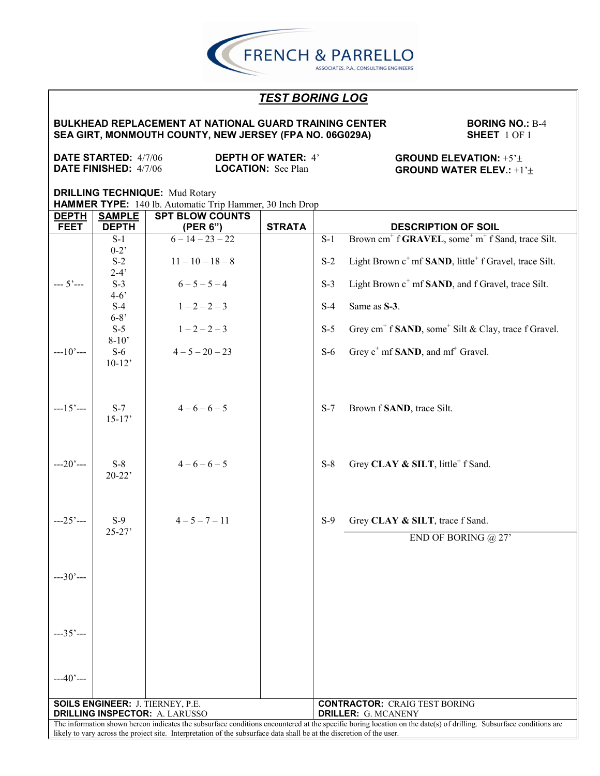**BULKHEAD REPLACEMENT AT NATIONAL GUARD TRAINING CENTER SEA GIRT, MONMOUTH COUNTY, NEW JERSEY (FPA NO. 06G029A)**

**BORING NO.:** B-4 **SHEET** 1 OF 1

**DATE STARTED:** 4/7/06 **DATE FINISHED:** 4/7/06

**DEPTH OF WATER:** 4' **LOCATION:** See Plan

**GROUND ELEVATION:** +5' **GROUND WATER ELEV.:** +1'

| <u>DEPTH</u>                                                                                                          | <b>SAMPLE</b>                         | <b>SPT BLOW COUNTS</b> |               |                            |                                                                                                                                                                    |  |
|-----------------------------------------------------------------------------------------------------------------------|---------------------------------------|------------------------|---------------|----------------------------|--------------------------------------------------------------------------------------------------------------------------------------------------------------------|--|
| <b>FEET</b>                                                                                                           | <b>DEPTH</b>                          | (PER 6")               | <b>STRATA</b> |                            | <b>DESCRIPTION OF SOIL</b>                                                                                                                                         |  |
|                                                                                                                       | $S-1$                                 | $6 - 14 - 23 - 22$     |               | $\overline{S-1}$           | Brown cm <sup>+</sup> f GRAVEL, some <sup>+</sup> m <sup>+</sup> f Sand, trace Silt.                                                                               |  |
|                                                                                                                       | $0-2$                                 |                        |               |                            |                                                                                                                                                                    |  |
|                                                                                                                       | $S-2$                                 | $11 - 10 - 18 - 8$     |               | $S-2$                      | Light Brown c <sup>+</sup> mf <b>SAND</b> , little <sup>+</sup> f Gravel, trace Silt.                                                                              |  |
|                                                                                                                       | $2-4'$                                |                        |               |                            |                                                                                                                                                                    |  |
| $-- 5'---$                                                                                                            | $S-3$                                 | $6 - 5 - 5 - 4$        |               | $S-3$                      | Light Brown c <sup>+</sup> mf SAND, and f Gravel, trace Silt.                                                                                                      |  |
|                                                                                                                       | $4 - 6'$                              |                        |               |                            |                                                                                                                                                                    |  |
|                                                                                                                       | $S-4$                                 | $1 - 2 - 2 - 3$        |               | $S-4$                      | Same as S-3.                                                                                                                                                       |  |
|                                                                                                                       | $6 - 8'$                              |                        |               |                            |                                                                                                                                                                    |  |
|                                                                                                                       | $S-5$                                 | $1 - 2 - 2 - 3$        |               | $S-5$                      | Grey cm <sup>+</sup> f <b>SAND</b> , some <sup>+</sup> Silt & Clay, trace f Gravel.                                                                                |  |
|                                                                                                                       | $8-10'$                               |                        |               |                            |                                                                                                                                                                    |  |
| $-10$ ' $-$                                                                                                           | $S-6$                                 | $4 - 5 - 20 - 23$      |               | $S-6$                      | Grey $c^+$ mf <b>SAND</b> , and mf <sup>+</sup> Gravel.                                                                                                            |  |
|                                                                                                                       | $10-12$                               |                        |               |                            |                                                                                                                                                                    |  |
|                                                                                                                       |                                       |                        |               |                            |                                                                                                                                                                    |  |
|                                                                                                                       |                                       |                        |               |                            |                                                                                                                                                                    |  |
|                                                                                                                       |                                       |                        |               |                            |                                                                                                                                                                    |  |
| $-15$ $-$                                                                                                             | $S-7$                                 | $4-6-6-5$              |               | $S-7$                      | Brown f SAND, trace Silt.                                                                                                                                          |  |
|                                                                                                                       | $15 - 17'$                            |                        |               |                            |                                                                                                                                                                    |  |
|                                                                                                                       |                                       |                        |               |                            |                                                                                                                                                                    |  |
|                                                                                                                       |                                       |                        |               |                            |                                                                                                                                                                    |  |
|                                                                                                                       |                                       |                        |               |                            |                                                                                                                                                                    |  |
| $-20$ ' $-$                                                                                                           | $S-8$                                 | $4-6-6-5$              |               | $S-8$                      | Grey CLAY & SILT, little <sup>+</sup> f Sand.                                                                                                                      |  |
|                                                                                                                       | $20 - 22$                             |                        |               |                            |                                                                                                                                                                    |  |
|                                                                                                                       |                                       |                        |               |                            |                                                                                                                                                                    |  |
|                                                                                                                       |                                       |                        |               |                            |                                                                                                                                                                    |  |
|                                                                                                                       |                                       |                        |               |                            |                                                                                                                                                                    |  |
| $-25$ $-$                                                                                                             | $S-9$                                 | $4 - 5 - 7 - 11$       |               | $S-9$                      | Grey CLAY & SILT, trace f Sand.                                                                                                                                    |  |
|                                                                                                                       | $25 - 27'$                            |                        |               |                            |                                                                                                                                                                    |  |
|                                                                                                                       |                                       |                        |               |                            | END OF BORING $@27'$                                                                                                                                               |  |
|                                                                                                                       |                                       |                        |               |                            |                                                                                                                                                                    |  |
|                                                                                                                       |                                       |                        |               |                            |                                                                                                                                                                    |  |
| $-30$ $-$                                                                                                             |                                       |                        |               |                            |                                                                                                                                                                    |  |
|                                                                                                                       |                                       |                        |               |                            |                                                                                                                                                                    |  |
|                                                                                                                       |                                       |                        |               |                            |                                                                                                                                                                    |  |
|                                                                                                                       |                                       |                        |               |                            |                                                                                                                                                                    |  |
|                                                                                                                       |                                       |                        |               |                            |                                                                                                                                                                    |  |
| $-35'$ ---                                                                                                            |                                       |                        |               |                            |                                                                                                                                                                    |  |
|                                                                                                                       |                                       |                        |               |                            |                                                                                                                                                                    |  |
|                                                                                                                       |                                       |                        |               |                            |                                                                                                                                                                    |  |
|                                                                                                                       |                                       |                        |               |                            |                                                                                                                                                                    |  |
| $-40$ ' $-$                                                                                                           |                                       |                        |               |                            |                                                                                                                                                                    |  |
|                                                                                                                       |                                       |                        |               |                            |                                                                                                                                                                    |  |
| <b>SOILS ENGINEER: J. TIERNEY, P.E.</b>                                                                               |                                       |                        |               |                            | <b>CONTRACTOR: CRAIG TEST BORING</b>                                                                                                                               |  |
|                                                                                                                       | <b>DRILLING INSPECTOR: A. LARUSSO</b> |                        |               | <b>DRILLER: G. MCANENY</b> |                                                                                                                                                                    |  |
|                                                                                                                       |                                       |                        |               |                            | The information shown hereon indicates the subsurface conditions encountered at the specific boring location on the date(s) of drilling. Subsurface conditions are |  |
| likely to vary across the project site. Interpretation of the subsurface data shall be at the discretion of the user. |                                       |                        |               |                            |                                                                                                                                                                    |  |

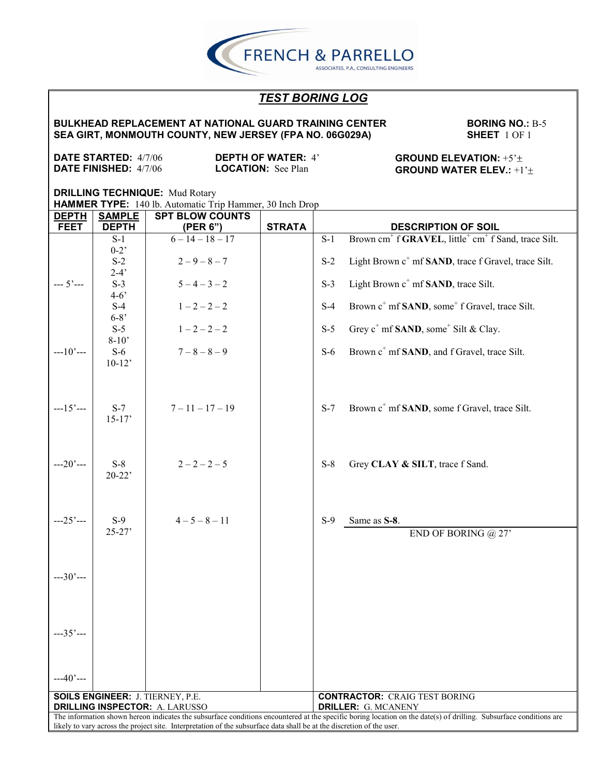#### **BULKHEAD REPLACEMENT AT NATIONAL GUARD TRAINING CENTER SEA GIRT, MONMOUTH COUNTY, NEW JERSEY (FPA NO. 06G029A)**

**BORING NO.:** B-5 **SHEET** 1 OF 1

**DATE STARTED:** 4/7/06 **DATE FINISHED:** 4/7/06

**DEPTH OF WATER:** 4' **LOCATION:** See Plan

**GROUND ELEVATION:** +5' **GROUND WATER ELEV.:** +1'

| <b>DEPTH</b>                                                                                                          | <b>SAMPLE</b>                                                                    | <b>SPT BLOW COUNTS</b> |               |                            |                                                                                                                                                                    |  |
|-----------------------------------------------------------------------------------------------------------------------|----------------------------------------------------------------------------------|------------------------|---------------|----------------------------|--------------------------------------------------------------------------------------------------------------------------------------------------------------------|--|
| <b>FEET</b>                                                                                                           | <b>DEPTH</b>                                                                     | (PER 6")               | <b>STRATA</b> |                            | <b>DESCRIPTION OF SOIL</b>                                                                                                                                         |  |
|                                                                                                                       | $S-1$                                                                            | $6 - 14 - 18 - 17$     |               | $\overline{S-1}$           | Brown cm <sup>+</sup> f <b>GRAVEL</b> , little <sup>+</sup> cm <sup>+</sup> f Sand, trace Silt.                                                                    |  |
|                                                                                                                       | $0-2$                                                                            |                        |               |                            |                                                                                                                                                                    |  |
|                                                                                                                       | $S-2$                                                                            | $2 - 9 - 8 - 7$        |               | $S-2$                      | Light Brown c <sup>+</sup> mf SAND, trace f Gravel, trace Silt.                                                                                                    |  |
|                                                                                                                       | $2-4'$                                                                           |                        |               |                            |                                                                                                                                                                    |  |
| $-- 5'---$                                                                                                            | $S-3$                                                                            | $5 - 4 - 3 - 2$        |               | $S-3$                      | Light Brown c <sup>+</sup> mf <b>SAND</b> , trace Silt.                                                                                                            |  |
|                                                                                                                       | $4-6$                                                                            |                        |               |                            |                                                                                                                                                                    |  |
|                                                                                                                       | $S-4$                                                                            | $1 - 2 - 2 - 2$        |               | $S-4$                      | Brown c <sup>+</sup> mf <b>SAND</b> , some <sup>+</sup> f Gravel, trace Silt.                                                                                      |  |
|                                                                                                                       | $6 - 8'$                                                                         |                        |               |                            |                                                                                                                                                                    |  |
|                                                                                                                       | $S-5$                                                                            | $1 - 2 - 2 - 2$        |               | $S-5$                      | Grey $c^+$ mf <b>SAND</b> , some <sup><math>+</math></sup> Silt & Clay.                                                                                            |  |
|                                                                                                                       | $8-10'$                                                                          |                        |               |                            |                                                                                                                                                                    |  |
| $-10$ $-$                                                                                                             | $S-6$                                                                            | $7 - 8 - 8 - 9$        |               | $S-6$                      | Brown c <sup>+</sup> mf <b>SAND</b> , and f Gravel, trace Silt.                                                                                                    |  |
|                                                                                                                       | $10-12$                                                                          |                        |               |                            |                                                                                                                                                                    |  |
|                                                                                                                       |                                                                                  |                        |               |                            |                                                                                                                                                                    |  |
|                                                                                                                       |                                                                                  |                        |               |                            |                                                                                                                                                                    |  |
|                                                                                                                       |                                                                                  |                        |               |                            |                                                                                                                                                                    |  |
| $--15'---$                                                                                                            | $S-7$                                                                            | $7 - 11 - 17 - 19$     |               | $S-7$                      | Brown c <sup>+</sup> mf <b>SAND</b> , some f Gravel, trace Silt.                                                                                                   |  |
|                                                                                                                       | $15 - 17'$                                                                       |                        |               |                            |                                                                                                                                                                    |  |
|                                                                                                                       |                                                                                  |                        |               |                            |                                                                                                                                                                    |  |
|                                                                                                                       |                                                                                  |                        |               |                            |                                                                                                                                                                    |  |
|                                                                                                                       |                                                                                  |                        |               |                            |                                                                                                                                                                    |  |
| $-20$ $-$                                                                                                             | $S-8$                                                                            | $2 - 2 - 2 - 5$        |               | $S-8$                      | Grey CLAY & SILT, trace f Sand.                                                                                                                                    |  |
|                                                                                                                       | $20 - 22$                                                                        |                        |               |                            |                                                                                                                                                                    |  |
|                                                                                                                       |                                                                                  |                        |               |                            |                                                                                                                                                                    |  |
|                                                                                                                       |                                                                                  |                        |               |                            |                                                                                                                                                                    |  |
|                                                                                                                       |                                                                                  |                        |               |                            |                                                                                                                                                                    |  |
| $--25'---$                                                                                                            | $S-9$                                                                            | $4 - 5 - 8 - 11$       |               | $S-9$                      | Same as S-8.                                                                                                                                                       |  |
|                                                                                                                       | $25 - 27'$                                                                       |                        |               |                            | END OF BORING $@27'$                                                                                                                                               |  |
|                                                                                                                       |                                                                                  |                        |               |                            |                                                                                                                                                                    |  |
|                                                                                                                       |                                                                                  |                        |               |                            |                                                                                                                                                                    |  |
|                                                                                                                       |                                                                                  |                        |               |                            |                                                                                                                                                                    |  |
| $-30$ $-$                                                                                                             |                                                                                  |                        |               |                            |                                                                                                                                                                    |  |
|                                                                                                                       |                                                                                  |                        |               |                            |                                                                                                                                                                    |  |
|                                                                                                                       |                                                                                  |                        |               |                            |                                                                                                                                                                    |  |
|                                                                                                                       |                                                                                  |                        |               |                            |                                                                                                                                                                    |  |
|                                                                                                                       |                                                                                  |                        |               |                            |                                                                                                                                                                    |  |
| $--35$ ' $--$                                                                                                         |                                                                                  |                        |               |                            |                                                                                                                                                                    |  |
|                                                                                                                       |                                                                                  |                        |               |                            |                                                                                                                                                                    |  |
|                                                                                                                       |                                                                                  |                        |               |                            |                                                                                                                                                                    |  |
|                                                                                                                       |                                                                                  |                        |               |                            |                                                                                                                                                                    |  |
| $-40$ ' $-$                                                                                                           |                                                                                  |                        |               |                            |                                                                                                                                                                    |  |
|                                                                                                                       |                                                                                  |                        |               |                            | <b>CONTRACTOR: CRAIG TEST BORING</b>                                                                                                                               |  |
|                                                                                                                       | <b>SOILS ENGINEER: J. TIERNEY, P.E.</b><br><b>DRILLING INSPECTOR: A. LARUSSO</b> |                        |               | <b>DRILLER: G. MCANENY</b> |                                                                                                                                                                    |  |
|                                                                                                                       |                                                                                  |                        |               |                            | The information shown hereon indicates the subsurface conditions encountered at the specific boring location on the date(s) of drilling. Subsurface conditions are |  |
| likely to vary across the project site. Interpretation of the subsurface data shall be at the discretion of the user. |                                                                                  |                        |               |                            |                                                                                                                                                                    |  |

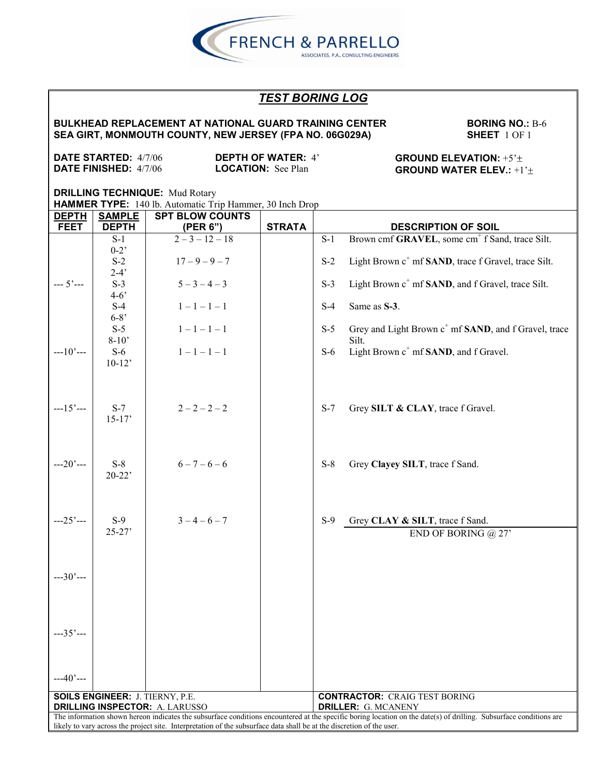

#### **BULKHEAD REPLACEMENT AT NATIONAL GUARD TRAINING CENTER SEA GIRT, MONMOUTH COUNTY, NEW JERSEY (FPA NO. 06G029A)**

**BORING NO.: B-6 SHEET** 1 OF 1

**DATE STARTED:** 4/7/06 **DATE FINISHED:** 4/7/06

**DEPTH OF WATER:** 4' **LOCATION:** See Plan

**GROUND ELEVATION:** +5' **GROUND WATER ELEV.:** +1'

| <b>DEPTH</b>                                                                                                          | <b>SAMPLE</b>                          | <b>SPT BLOW COUNTS</b> |               |                                                                                                                                                                    |  |  |
|-----------------------------------------------------------------------------------------------------------------------|----------------------------------------|------------------------|---------------|--------------------------------------------------------------------------------------------------------------------------------------------------------------------|--|--|
| <b>FEET</b>                                                                                                           | <b>DEPTH</b>                           | (PER 6")               | <b>STRATA</b> | <b>DESCRIPTION OF SOIL</b>                                                                                                                                         |  |  |
|                                                                                                                       | $S-1$                                  | $2-3-12-18$            |               | Brown cmf GRAVEL, some cm <sup>+</sup> f Sand, trace Silt.<br>$S-1$                                                                                                |  |  |
|                                                                                                                       | $0-2$                                  |                        |               |                                                                                                                                                                    |  |  |
|                                                                                                                       | $S-2$                                  | $17 - 9 - 9 - 7$       |               | Light Brown c <sup>+</sup> mf <b>SAND</b> , trace f Gravel, trace Silt.<br>$S-2$                                                                                   |  |  |
|                                                                                                                       | $2-4'$                                 |                        |               |                                                                                                                                                                    |  |  |
| $-- 5'---$                                                                                                            | $S-3$                                  | $5 - 3 - 4 - 3$        |               | Light Brown c <sup>+</sup> mf SAND, and f Gravel, trace Silt.<br>$S-3$                                                                                             |  |  |
|                                                                                                                       | $4 - 6'$                               |                        |               |                                                                                                                                                                    |  |  |
|                                                                                                                       | $S-4$                                  | $1 - 1 - 1 - 1$        |               | Same as S-3.<br>$S-4$                                                                                                                                              |  |  |
|                                                                                                                       | $6 - 8'$                               |                        |               |                                                                                                                                                                    |  |  |
|                                                                                                                       | $S-5$                                  | $1 - 1 - 1 - 1$        |               | Grey and Light Brown c <sup>+</sup> mf <b>SAND</b> , and f Gravel, trace<br>$S-5$                                                                                  |  |  |
|                                                                                                                       | $8 - 10'$                              |                        |               | Silt.                                                                                                                                                              |  |  |
| $-10$ $-$                                                                                                             | $S-6$                                  | $1 - 1 - 1 - 1$        |               | Light Brown c <sup>+</sup> mf <b>SAND</b> , and f Gravel.<br>$S-6$                                                                                                 |  |  |
|                                                                                                                       | $10-12'$                               |                        |               |                                                                                                                                                                    |  |  |
|                                                                                                                       |                                        |                        |               |                                                                                                                                                                    |  |  |
|                                                                                                                       |                                        |                        |               |                                                                                                                                                                    |  |  |
|                                                                                                                       |                                        |                        |               |                                                                                                                                                                    |  |  |
| $-15$ $-$                                                                                                             | $S-7$                                  | $2 - 2 - 2 - 2$        |               | $S-7$<br>Grey SILT & CLAY, trace f Gravel.                                                                                                                         |  |  |
|                                                                                                                       | $15-17'$                               |                        |               |                                                                                                                                                                    |  |  |
|                                                                                                                       |                                        |                        |               |                                                                                                                                                                    |  |  |
|                                                                                                                       |                                        |                        |               |                                                                                                                                                                    |  |  |
|                                                                                                                       |                                        |                        |               |                                                                                                                                                                    |  |  |
| $-20$ ' $-$                                                                                                           | $S-8$                                  | $6 - 7 - 6 - 6$        |               | $S-8$<br>Grey Clayey SILT, trace f Sand.                                                                                                                           |  |  |
|                                                                                                                       | $20 - 22$                              |                        |               |                                                                                                                                                                    |  |  |
|                                                                                                                       |                                        |                        |               |                                                                                                                                                                    |  |  |
|                                                                                                                       |                                        |                        |               |                                                                                                                                                                    |  |  |
|                                                                                                                       |                                        |                        |               |                                                                                                                                                                    |  |  |
| $-25$ $-$                                                                                                             | $S-9$                                  | $3 - 4 - 6 - 7$        |               | $S-9$<br>Grey CLAY & SILT, trace f Sand.                                                                                                                           |  |  |
|                                                                                                                       | $25 - 27'$                             |                        |               | END OF BORING $@27'$                                                                                                                                               |  |  |
|                                                                                                                       |                                        |                        |               |                                                                                                                                                                    |  |  |
|                                                                                                                       |                                        |                        |               |                                                                                                                                                                    |  |  |
|                                                                                                                       |                                        |                        |               |                                                                                                                                                                    |  |  |
| $-30$ $-$                                                                                                             |                                        |                        |               |                                                                                                                                                                    |  |  |
|                                                                                                                       |                                        |                        |               |                                                                                                                                                                    |  |  |
|                                                                                                                       |                                        |                        |               |                                                                                                                                                                    |  |  |
|                                                                                                                       |                                        |                        |               |                                                                                                                                                                    |  |  |
|                                                                                                                       |                                        |                        |               |                                                                                                                                                                    |  |  |
| $-35$ $-$                                                                                                             |                                        |                        |               |                                                                                                                                                                    |  |  |
|                                                                                                                       |                                        |                        |               |                                                                                                                                                                    |  |  |
|                                                                                                                       |                                        |                        |               |                                                                                                                                                                    |  |  |
|                                                                                                                       |                                        |                        |               |                                                                                                                                                                    |  |  |
|                                                                                                                       |                                        |                        |               |                                                                                                                                                                    |  |  |
| $-40$ ' $-$                                                                                                           |                                        |                        |               |                                                                                                                                                                    |  |  |
|                                                                                                                       | <b>SOILS ENGINEER: J. TIERNY, P.E.</b> |                        |               | <b>CONTRACTOR: CRAIG TEST BORING</b>                                                                                                                               |  |  |
| <b>DRILLING INSPECTOR: A. LARUSSO</b>                                                                                 |                                        |                        |               | <b>DRILLER: G. MCANENY</b>                                                                                                                                         |  |  |
|                                                                                                                       |                                        |                        |               | The information shown hereon indicates the subsurface conditions encountered at the specific boring location on the date(s) of drilling. Subsurface conditions are |  |  |
| likely to vary across the project site. Interpretation of the subsurface data shall be at the discretion of the user. |                                        |                        |               |                                                                                                                                                                    |  |  |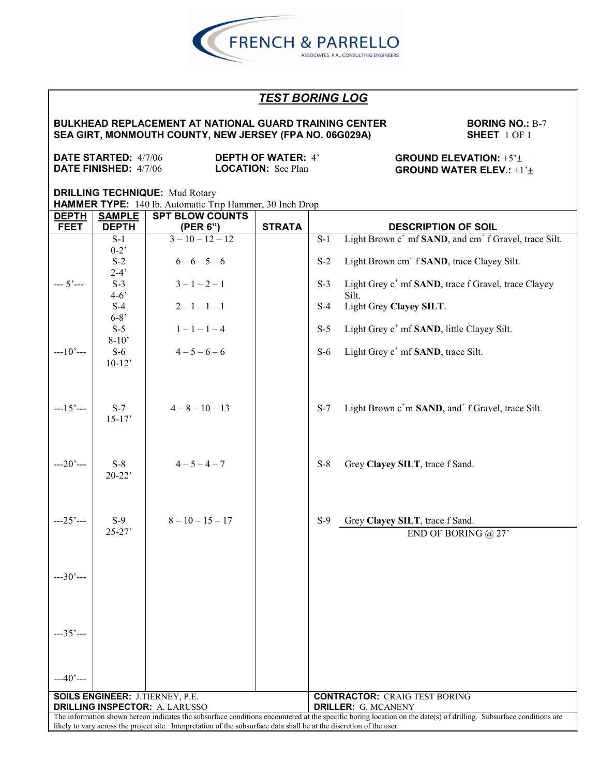

#### **BULKHEAD REPLACEMENT AT NATIONAL GUARD TRAINING CENTER SEA GIRT, MONMOUTH COUNTY, NEW JERSEY (FPA NO. 06G029A)**

**BORING NO.: B-7 SHEET** 1 OF 1

**DATE STARTED:** 4/7/06 **DATE FINISHED:** 4/7/06

**DEPTH OF WATER:** 4' **LOCATION:** See Plan

**GROUND ELEVATION:** +5' **GROUND WATER ELEV.:** +1'

| <b>DEPTH</b> | <b>SAMPLE</b> | <b>SPT BLOW COUNTS</b>                                                                                                |               |                                                                                                                                                                    |  |  |
|--------------|---------------|-----------------------------------------------------------------------------------------------------------------------|---------------|--------------------------------------------------------------------------------------------------------------------------------------------------------------------|--|--|
| <b>FEET</b>  | <b>DEPTH</b>  | (PER 6")                                                                                                              | <b>STRATA</b> | <b>DESCRIPTION OF SOIL</b>                                                                                                                                         |  |  |
|              | $S-1$         | $3-10-12-12$                                                                                                          |               | Light Brown c <sup>+</sup> mf SAND, and cm <sup>+</sup> f Gravel, trace Silt.<br>$S-1$                                                                             |  |  |
|              | $0-2$         |                                                                                                                       |               |                                                                                                                                                                    |  |  |
|              | $S-2$         | $6 - 6 - 5 - 6$                                                                                                       |               | Light Brown cm <sup>+</sup> f <b>SAND</b> , trace Clayey Silt.<br>$S-2$                                                                                            |  |  |
|              | $2-4'$        |                                                                                                                       |               |                                                                                                                                                                    |  |  |
| $-- 5'---$   | $S-3$         | $3 - 1 - 2 - 1$                                                                                                       |               | Light Grey c <sup>+</sup> mf <b>SAND</b> , trace f Gravel, trace Clayey<br>$S-3$                                                                                   |  |  |
|              | $4 - 6'$      |                                                                                                                       |               | Silt.                                                                                                                                                              |  |  |
|              | $S-4$         | $2 - 1 - 1 - 1$                                                                                                       |               | Light Grey Clayey SILT.<br>$S-4$                                                                                                                                   |  |  |
|              | $6 - 8'$      |                                                                                                                       |               |                                                                                                                                                                    |  |  |
|              | $S-5$         | $1 - 1 - 1 - 4$                                                                                                       |               | $S-5$<br>Light Grey c <sup>+</sup> mf <b>SAND</b> , little Clayey Silt.                                                                                            |  |  |
|              | $8-10'$       |                                                                                                                       |               |                                                                                                                                                                    |  |  |
| $-10$ $-$    | $S-6$         | $4 - 5 - 6 - 6$                                                                                                       |               | Light Grey $c^+$ mf <b>SAND</b> , trace Silt.<br>$S-6$                                                                                                             |  |  |
|              | $10-12$       |                                                                                                                       |               |                                                                                                                                                                    |  |  |
|              |               |                                                                                                                       |               |                                                                                                                                                                    |  |  |
|              |               |                                                                                                                       |               |                                                                                                                                                                    |  |  |
|              |               |                                                                                                                       |               |                                                                                                                                                                    |  |  |
| $--15'---$   | $S-7$         | $4 - 8 - 10 - 13$                                                                                                     |               | Light Brown c <sup>+</sup> m SAND, and <sup>+</sup> f Gravel, trace Silt.<br>$S-7$                                                                                 |  |  |
|              | $15-17'$      |                                                                                                                       |               |                                                                                                                                                                    |  |  |
|              |               |                                                                                                                       |               |                                                                                                                                                                    |  |  |
|              |               |                                                                                                                       |               |                                                                                                                                                                    |  |  |
|              |               |                                                                                                                       |               |                                                                                                                                                                    |  |  |
| $-20$ ' $-$  | $S-8$         | $4 - 5 - 4 - 7$                                                                                                       |               | $S-8$<br>Grey Clayey SILT, trace f Sand.                                                                                                                           |  |  |
|              | $20-22$       |                                                                                                                       |               |                                                                                                                                                                    |  |  |
|              |               |                                                                                                                       |               |                                                                                                                                                                    |  |  |
|              |               |                                                                                                                       |               |                                                                                                                                                                    |  |  |
|              |               |                                                                                                                       |               |                                                                                                                                                                    |  |  |
| $--25'---$   | $S-9$         | $8 - 10 - 15 - 17$                                                                                                    |               | Grey Clayey SILT, trace f Sand.<br>$S-9$                                                                                                                           |  |  |
|              | $25 - 27'$    |                                                                                                                       |               | END OF BORING $@27'$                                                                                                                                               |  |  |
|              |               |                                                                                                                       |               |                                                                                                                                                                    |  |  |
|              |               |                                                                                                                       |               |                                                                                                                                                                    |  |  |
|              |               |                                                                                                                       |               |                                                                                                                                                                    |  |  |
| $--30'---$   |               |                                                                                                                       |               |                                                                                                                                                                    |  |  |
|              |               |                                                                                                                       |               |                                                                                                                                                                    |  |  |
|              |               |                                                                                                                       |               |                                                                                                                                                                    |  |  |
|              |               |                                                                                                                       |               |                                                                                                                                                                    |  |  |
|              |               |                                                                                                                       |               |                                                                                                                                                                    |  |  |
| $-35$ $-$    |               |                                                                                                                       |               |                                                                                                                                                                    |  |  |
|              |               |                                                                                                                       |               |                                                                                                                                                                    |  |  |
|              |               |                                                                                                                       |               |                                                                                                                                                                    |  |  |
|              |               |                                                                                                                       |               |                                                                                                                                                                    |  |  |
| $-40$ ' $-$  |               |                                                                                                                       |               |                                                                                                                                                                    |  |  |
|              |               |                                                                                                                       |               |                                                                                                                                                                    |  |  |
|              |               | <b>SOILS ENGINEER: J.TIERNEY, P.E.</b>                                                                                |               | <b>CONTRACTOR: CRAIG TEST BORING</b>                                                                                                                               |  |  |
|              |               | <b>DRILLING INSPECTOR: A. LARUSSO</b>                                                                                 |               | <b>DRILLER: G. MCANENY</b>                                                                                                                                         |  |  |
|              |               | likely to vary across the project site. Interpretation of the subsurface data shall be at the discretion of the user. |               | The information shown hereon indicates the subsurface conditions encountered at the specific boring location on the date(s) of drilling. Subsurface conditions are |  |  |
|              |               |                                                                                                                       |               |                                                                                                                                                                    |  |  |